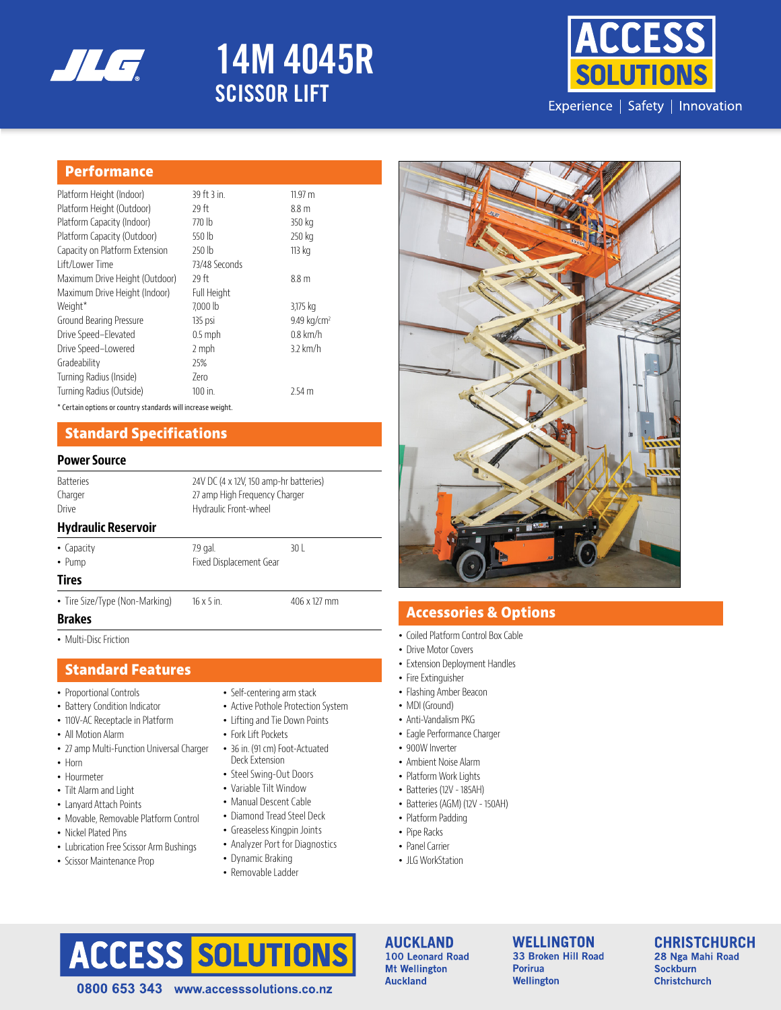

# **14M 4045R SCISSOR LIFT**



#### **Performance**

| Platform Height (Indoor)       | 39 ft 3 in.        | 11.97 m                 |
|--------------------------------|--------------------|-------------------------|
| Platform Height (Outdoor)      | 29 ft              | 8.8 m                   |
| Platform Capacity (Indoor)     | 770 lb             | 350 kg                  |
| Platform Capacity (Outdoor)    | 550 lb             | 250 kg                  |
| Capacity on Platform Extension | 250 lb             | 113 kg                  |
| Lift/Lower Time                | 73/48 Seconds      |                         |
| Maximum Drive Height (Outdoor) | 29 ft              | 8.8 <sub>m</sub>        |
| Maximum Drive Height (Indoor)  | <b>Full Height</b> |                         |
| Weight*                        | 7.000 lb           | 3,175 kg                |
| Ground Bearing Pressure        | 135 psi            | 9.49 kg/cm <sup>2</sup> |
| Drive Speed-Elevated           | $0.5$ mph          | $0.8$ km/h              |
| Drive Speed-Lowered            | 2 mph              | 3.2 km/h                |
| Gradeability                   | 25%                |                         |
| Turning Radius (Inside)        | 7ero               |                         |
| Turning Radius (Outside)       | $100$ in.          | 2.54 <sub>m</sub>       |

\* Certain options or country standards will increase weight.

#### **Standard Specifications**

#### **Power Source**

| <b>Batteries</b>           | 24V DC (4 x 12V, 150 amp-hr batteries) |                               |  |
|----------------------------|----------------------------------------|-------------------------------|--|
| Charger                    |                                        | 27 amp High Freguency Charger |  |
| Drive                      | Hydraulic Front-wheel                  |                               |  |
| <b>Hydraulic Reservoir</b> |                                        |                               |  |
| • Capacity                 | 7.9 gal.                               | 30 I                          |  |

• Pump **Fixed Displacement Gear** 

**Tires**

• Tire Size/Type (Non-Marking) 16 x 5 in. 406 x 127 mm

#### **Brakes**

• Multi-Disc Friction

#### **Standard Features**

- Proportional Controls
- Battery Condition Indicator
- 110V-AC Receptacle in Platform
- All Motion Alarm
- 27 amp Multi-Function Universal Charger
- Horn
- Hourmeter
- Tilt Alarm and Light
- Lanyard Attach Points
- Movable, Removable Platform Control
- Nickel Plated Pins
- Lubrication Free Scissor Arm Bushings
- Scissor Maintenance Prop
- Self-centering arm stack
- Active Pothole Protection System
- Lifting and Tie Down Points
- Fork Lift Pockets
- 36 in. (91 cm) Foot-Actuated Deck Extension
- Steel Swing-Out Doors
- Variable Tilt Window
- Manual Descent Cable
- Diamond Tread Steel Deck
- Greaseless Kingpin Joints
- Analyzer Port for Diagnostics
- Dynamic Braking
- Removable Ladder



### **Accessories & Options**

- Coiled Platform Control Box Cable
- Drive Motor Covers
- Extension Deployment Handles
- Fire Extinguisher
- Flashing Amber Beacon
- MDI (Ground)
- Anti-Vandalism PKG
- Eagle Performance Charger
- 900W Inverter
- Ambient Noise Alarm
- Platform Work Lights
- Batteries (12V 185AH)
- Batteries (AGM) (12V 150AH)
- Platform Padding
- Pipe Racks
	- Panel Carrier
	- ILG WorkStation

# only. Refer to appropriate Snorkel operators manual for detailed instructions on the proper use and maintenance. © Snorkel 2017

100 Leonard Road **Mt Wellington Auckland** 

**WELLINGTON** 33 Broken Hill Road **Porirua** Wellington

**CHRISTCHURCH** 28 Nga Mahi Road **Sockburn Christchurch** 

0800 653 343 www.accesssolutions.co.nz